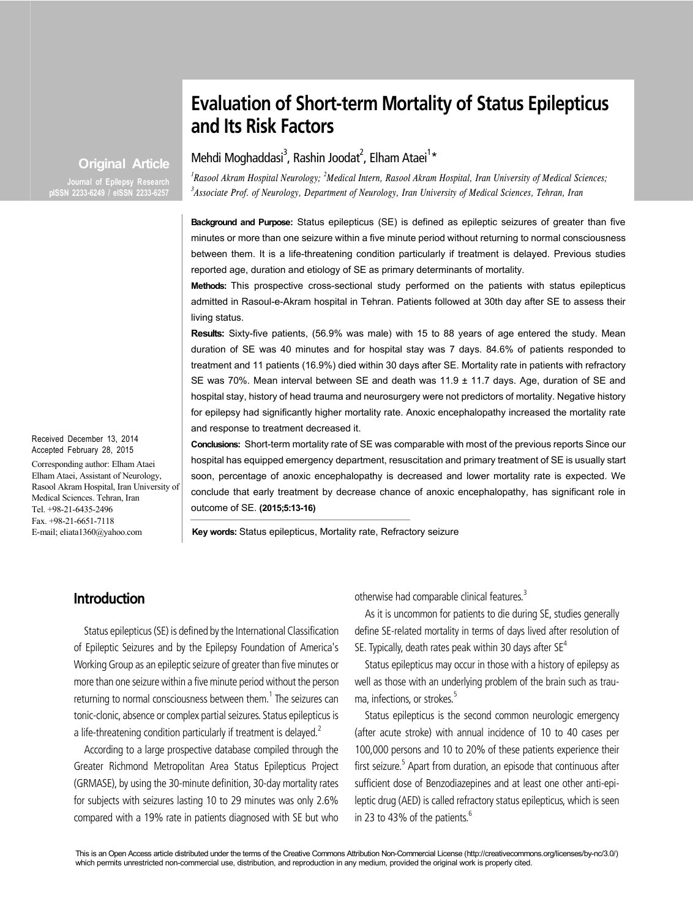# **Evaluation of Short-term Mortality of Status Epilepticus and Its Risk Factors**

Mehdi Moghaddasi<sup>3</sup>, Rashin Joodat<sup>2</sup>, Elham Ataei<sup>1</sup>\*

*1 Rasool Akram Hospital Neurology; <sup>2</sup> Medical Intern, Rasool Akram Hospital, Iran University of Medical Sciences; 3 Associate Prof. of Neurology, Department of Neurology, Iran University of Medical Sciences, Tehran, Iran*

**Background and Purpose:** Status epilepticus (SE) is defined as epileptic seizures of greater than five minutes or more than one seizure within a five minute period without returning to normal consciousness between them. It is a life-threatening condition particularly if treatment is delayed. Previous studies reported age, duration and etiology of SE as primary determinants of mortality.

**Methods:** This prospective cross-sectional study performed on the patients with status epilepticus admitted in Rasoul-e-Akram hospital in Tehran. Patients followed at 30th day after SE to assess their living status.

**Results:** Sixty-five patients, (56.9% was male) with 15 to 88 years of age entered the study. Mean duration of SE was 40 minutes and for hospital stay was 7 days. 84.6% of patients responded to treatment and 11 patients (16.9%) died within 30 days after SE. Mortality rate in patients with refractory SE was 70%. Mean interval between SE and death was 11.9 ± 11.7 days. Age, duration of SE and hospital stay, history of head trauma and neurosurgery were not predictors of mortality. Negative history for epilepsy had significantly higher mortality rate. Anoxic encephalopathy increased the mortality rate and response to treatment decreased it.

**Conclusions:** Short-term mortality rate of SE was comparable with most of the previous reports Since our hospital has equipped emergency department, resuscitation and primary treatment of SE is usually start soon, percentage of anoxic encephalopathy is decreased and lower mortality rate is expected. We conclude that early treatment by decrease chance of anoxic encephalopathy, has significant role in outcome of SE. **(2015;5:13-16)**

**Key words:** Status epilepticus, Mortality rate, Refractory seizure

#### **Introduction**

Status epilepticus (SE) is defined by the International Classification of Epileptic Seizures and by the Epilepsy Foundation of America's Working Group as an epileptic seizure of greater than five minutes or more than one seizure within a five minute period without the person returning to normal consciousness between them.<sup>1</sup> The seizures can tonic-clonic, absence or complex partial seizures. Status epilepticus is a life-threatening condition particularly if treatment is delayed.<sup>2</sup>

According to a large prospective database compiled through the Greater Richmond Metropolitan Area Status Epilepticus Project (GRMASE), by using the 30-minute definition, 30-day mortality rates for subjects with seizures lasting 10 to 29 minutes was only 2.6% compared with a 19% rate in patients diagnosed with SE but who

otherwise had comparable clinical features.<sup>3</sup>

As it is uncommon for patients to die during SE, studies generally define SE-related mortality in terms of days lived after resolution of SE. Typically, death rates peak within 30 days after  $SE<sup>4</sup>$ 

Status epilepticus may occur in those with a history of epilepsy as well as those with an underlying problem of the brain such as trauma, infections, or strokes.<sup>5</sup>

Status epilepticus is the second common neurologic emergency (after acute stroke) with annual incidence of 10 to 40 cases per 100,000 persons and 10 to 20% of these patients experience their first seizure.<sup>5</sup> Apart from duration, an episode that continuous after sufficient dose of Benzodiazepines and at least one other anti-epileptic drug (AED) is called refractory status epilepticus, which is seen in 23 to 43% of the patients. $6$ 

Received December 13, 2014 Accepted February 28, 2015 Corresponding author: Elham Ataei

Elham Ataei, Assistant of Neurology, Rasool Akram Hospital, Iran University of Medical Sciences. Tehran, Iran Tel. +98-21-6435-2496 Fax. +98-21-6651-7118 E-mail; eliata1360@yahoo.com

**Original Article Journal of Epilepsy Research pISSN 2233-6249 / eISSN 2233-6257**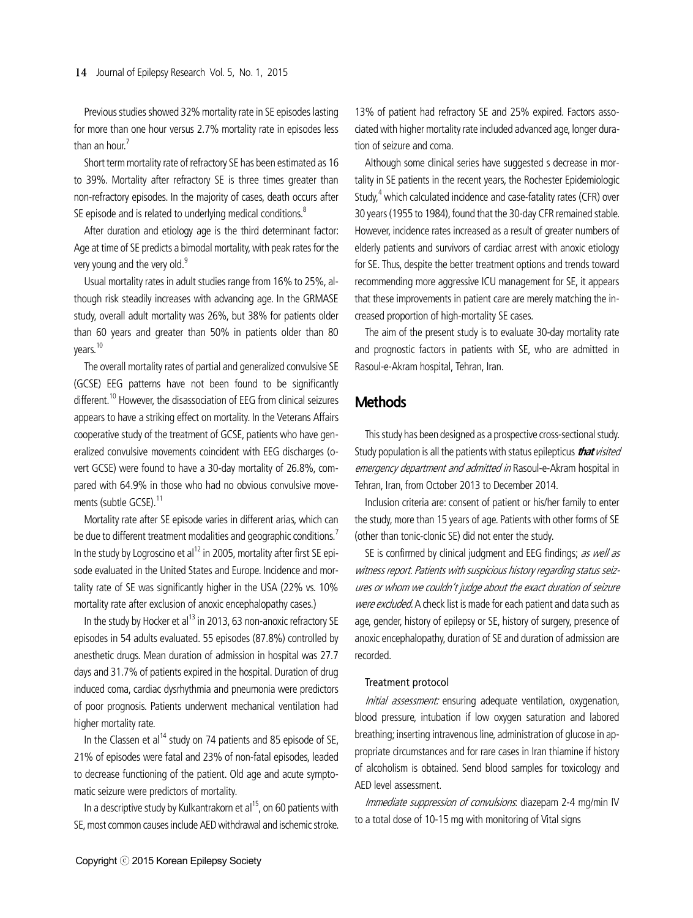Previous studies showed 32% mortality rate in SE episodes lasting for more than one hour versus 2.7% mortality rate in episodes less than an hour. $<sup>7</sup>$ </sup>

Short term mortality rate of refractory SE has been estimated as 16 to 39%. Mortality after refractory SE is three times greater than non-refractory episodes. In the majority of cases, death occurs after SE episode and is related to underlying medical conditions.<sup>8</sup>

After duration and etiology age is the third determinant factor: Age at time of SE predicts a bimodal mortality, with peak rates for the very young and the very old.<sup>9</sup>

Usual mortality rates in adult studies range from 16% to 25%, although risk steadily increases with advancing age. In the GRMASE study, overall adult mortality was 26%, but 38% for patients older than 60 years and greater than 50% in patients older than 80 years.10

The overall mortality rates of partial and generalized convulsive SE (GCSE) EEG patterns have not been found to be significantly different.<sup>10</sup> However, the disassociation of EEG from clinical seizures appears to have a striking effect on mortality. In the Veterans Affairs cooperative study of the treatment of GCSE, patients who have generalized convulsive movements coincident with EEG discharges (overt GCSE) were found to have a 30-day mortality of 26.8%, compared with 64.9% in those who had no obvious convulsive movements (subtle GCSE).<sup>11</sup>

Mortality rate after SE episode varies in different arias, which can be due to different treatment modalities and geographic conditions.<sup>7</sup> In the study by Logroscino et al<sup>12</sup> in 2005, mortality after first SE episode evaluated in the United States and Europe. Incidence and mortality rate of SE was significantly higher in the USA (22% vs. 10% mortality rate after exclusion of anoxic encephalopathy cases.)

In the study by Hocker et al<sup>13</sup> in 2013, 63 non-anoxic refractory SE episodes in 54 adults evaluated. 55 episodes (87.8%) controlled by anesthetic drugs. Mean duration of admission in hospital was 27.7 days and 31.7% of patients expired in the hospital. Duration of drug induced coma, cardiac dysrhythmia and pneumonia were predictors of poor prognosis. Patients underwent mechanical ventilation had higher mortality rate.

In the Classen et al<sup>14</sup> study on 74 patients and 85 episode of SE, 21% of episodes were fatal and 23% of non-fatal episodes, leaded to decrease functioning of the patient. Old age and acute symptomatic seizure were predictors of mortality.

In a descriptive study by Kulkantrakorn et al<sup>15</sup>, on 60 patients with SE, most common causes include AED withdrawal and ischemic stroke.

13% of patient had refractory SE and 25% expired. Factors associated with higher mortality rate included advanced age, longer duration of seizure and coma.

Although some clinical series have suggested s decrease in mortality in SE patients in the recent years, the Rochester Epidemiologic Study,<sup>4</sup> which calculated incidence and case-fatality rates (CFR) over 30 years (1955 to 1984), found that the 30-day CFR remained stable. However, incidence rates increased as a result of greater numbers of elderly patients and survivors of cardiac arrest with anoxic etiology for SE. Thus, despite the better treatment options and trends toward recommending more aggressive ICU management for SE, it appears that these improvements in patient care are merely matching the increased proportion of high-mortality SE cases.

The aim of the present study is to evaluate 30-day mortality rate and prognostic factors in patients with SE, who are admitted in Rasoul-e-Akram hospital, Tehran, Iran.

## **Methods**

This study has been designed as a prospective cross-sectional study. Study population is all the patients with status epilepticus **that** visited emergency department and admitted in Rasoul-e-Akram hospital in Tehran, Iran, from October 2013 to December 2014.

Inclusion criteria are: consent of patient or his/her family to enter the study, more than 15 years of age. Patients with other forms of SE (other than tonic-clonic SE) did not enter the study.

SE is confirmed by clinical judgment and EEG findings; as well as witness report. Patients with suspicious history regarding status seizures or whom we couldn't judge about the exact duration of seizure were excluded. A check list is made for each patient and data such as age, gender, history of epilepsy or SE, history of surgery, presence of anoxic encephalopathy, duration of SE and duration of admission are recorded.

#### Treatment protocol

Initial assessment: ensuring adequate ventilation, oxygenation, blood pressure, intubation if low oxygen saturation and labored breathing; inserting intravenous line, administration of glucose in appropriate circumstances and for rare cases in Iran thiamine if history of alcoholism is obtained. Send blood samples for toxicology and AED level assessment.

Immediate suppression of convulsions: diazepam 2-4 mg/min IV to a total dose of 10-15 mg with monitoring of Vital signs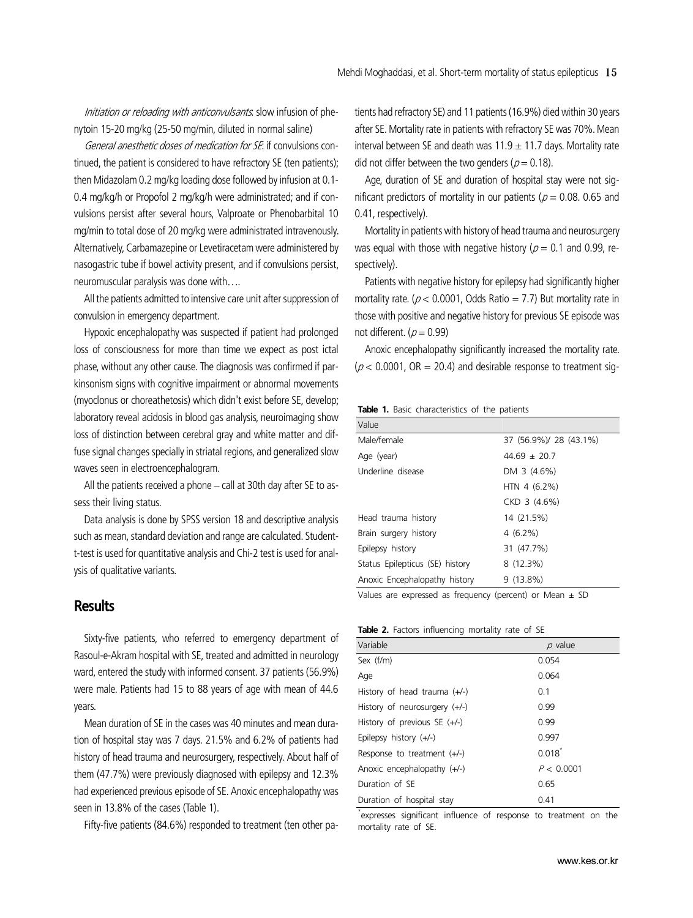Initiation or reloading with anticonvulsants: slow infusion of phenytoin 15-20 mg/kg (25-50 mg/min, diluted in normal saline)

General anesthetic doses of medication for SE: if convulsions continued, the patient is considered to have refractory SE (ten patients); then Midazolam 0.2 mg/kg loading dose followed by infusion at 0.1- 0.4 mg/kg/h or Propofol 2 mg/kg/h were administrated; and if convulsions persist after several hours, Valproate or Phenobarbital 10 mg/min to total dose of 20 mg/kg were administrated intravenously. Alternatively, Carbamazepine or Levetiracetam were administered by nasogastric tube if bowel activity present, and if convulsions persist, neuromuscular paralysis was done with….

All the patients admitted to intensive care unit after suppression of convulsion in emergency department.

Hypoxic encephalopathy was suspected if patient had prolonged loss of consciousness for more than time we expect as post ictal phase, without any other cause. The diagnosis was confirmed if parkinsonism signs with cognitive impairment or abnormal movements (myoclonus or choreathetosis) which didn't exist before SE, develop; laboratory reveal acidosis in blood gas analysis, neuroimaging show loss of distinction between cerebral gray and white matter and diffuse signal changes specially in striatal regions, and generalized slow waves seen in electroencephalogram.

All the patients received a phone – call at 30th day after SE to assess their living status.

Data analysis is done by SPSS version 18 and descriptive analysis such as mean, standard deviation and range are calculated. Studentt-test is used for quantitative analysis and Chi-2 test is used for analysis of qualitative variants.

### **Results**

Sixty-five patients, who referred to emergency department of Rasoul-e-Akram hospital with SE, treated and admitted in neurology ward, entered the study with informed consent. 37 patients (56.9%) were male. Patients had 15 to 88 years of age with mean of 44.6 years.

Mean duration of SE in the cases was 40 minutes and mean duration of hospital stay was 7 days. 21.5% and 6.2% of patients had history of head trauma and neurosurgery, respectively. About half of them (47.7%) were previously diagnosed with epilepsy and 12.3% had experienced previous episode of SE. Anoxic encephalopathy was seen in 13.8% of the cases (Table 1).

Fifty-five patients (84.6%) responded to treatment (ten other pa-

tients had refractory SE) and 11 patients (16.9%) died within 30 years after SE. Mortality rate in patients with refractory SE was 70%. Mean interval between SE and death was  $11.9 \pm 11.7$  days. Mortality rate did not differ between the two genders ( $p = 0.18$ ).

Age, duration of SE and duration of hospital stay were not significant predictors of mortality in our patients ( $p = 0.08$ . 0.65 and 0.41, respectively).

Mortality in patients with history of head trauma and neurosurgery was equal with those with negative history ( $p = 0.1$  and 0.99, respectively).

Patients with negative history for epilepsy had significantly higher mortality rate. ( $p < 0.0001$ , Odds Ratio = 7.7) But mortality rate in those with positive and negative history for previous SE episode was not different. ( $p = 0.99$ )

Anoxic encephalopathy significantly increased the mortality rate. ( $p$  < 0.0001, OR = 20.4) and desirable response to treatment sig-

**Table 1.** Basic characteristics of the patients

| Value                           |                        |
|---------------------------------|------------------------|
| Male/female                     | 37 (56.9%)/ 28 (43.1%) |
| Age (year)                      | $44.69 \pm 20.7$       |
| Underline disease               | DM 3 (4.6%)            |
|                                 | HTN 4 $(6.2%)$         |
|                                 | CKD 3 (4.6%)           |
| Head trauma history             | 14 (21.5%)             |
| Brain surgery history           | $4(6.2\%)$             |
| Epilepsy history                | 31 (47.7%)             |
| Status Epilepticus (SE) history | $8(12.3\%)$            |
| Anoxic Encephalopathy history   | $9(13.8\%)$            |
|                                 |                        |

Values are expressed as frequency (percent) or Mean  $\pm$  SD

#### **Table 2.** Factors influencing mortality rate of SE

| Variable                        | $p$ value  |
|---------------------------------|------------|
| Sex (f/m)                       | 0.054      |
| Age                             | 0.064      |
| History of head trauma $(+/-)$  | 0.1        |
| History of neurosurgery $(+/-)$ | 0.99       |
| History of previous SE (+/-)    | 0.99       |
| Epilepsy history $(+/-)$        | 0.997      |
| Response to treatment $(+/-)$   | $0.018^*$  |
| Anoxic encephalopathy (+/-)     | P < 0.0001 |
| Duration of SE                  | 0.65       |
| Duration of hospital stay       | 0.41       |

\* expresses significant influence of response to treatment on the mortality rate of SE.